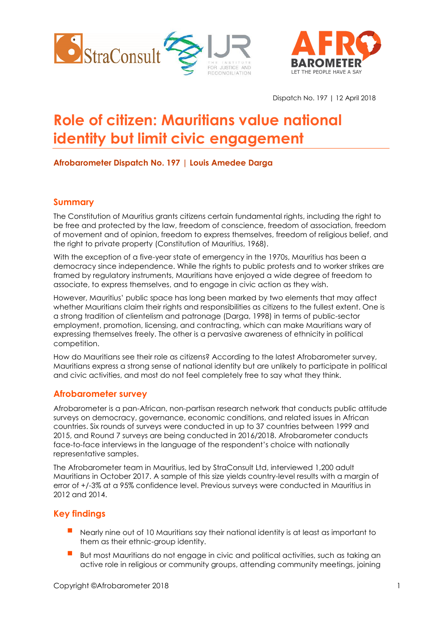



Dispatch No. 197 | 12 April 2018

# **Role of citizen: Mauritians value national identity but limit civic engagement**

## **Afrobarometer Dispatch No. 197 | Louis Amedee Darga**

## **Summary**

The Constitution of Mauritius grants citizens certain fundamental rights, including the right to be free and protected by the law, freedom of conscience, freedom of association, freedom of movement and of opinion, freedom to express themselves, freedom of religious belief, and the right to private property (Constitution of Mauritius, 1968).

With the exception of a five-year state of emergency in the 1970s, Mauritius has been a democracy since independence. While the rights to public protests and to worker strikes are framed by regulatory instruments, Mauritians have enjoyed a wide degree of freedom to associate, to express themselves, and to engage in civic action as they wish.

However, Mauritius' public space has long been marked by two elements that may affect whether Mauritians claim their rights and responsibilities as citizens to the fullest extent. One is a strong tradition of clientelism and patronage (Darga, 1998) in terms of public-sector employment, promotion, licensing, and contracting, which can make Mauritians wary of expressing themselves freely. The other is a pervasive awareness of ethnicity in political competition.

How do Mauritians see their role as citizens? According to the latest Afrobarometer survey, Mauritians express a strong sense of national identity but are unlikely to participate in political and civic activities, and most do not feel completely free to say what they think.

### **Afrobarometer survey**

Afrobarometer is a pan-African, non-partisan research network that conducts public attitude surveys on democracy, governance, economic conditions, and related issues in African countries. Six rounds of surveys were conducted in up to 37 countries between 1999 and 2015, and Round 7 surveys are being conducted in 2016/2018. Afrobarometer conducts face-to-face interviews in the language of the respondent's choice with nationally representative samples.

The Afrobarometer team in Mauritius, led by StraConsult Ltd, interviewed 1,200 adult Mauritians in October 2017. A sample of this size yields country-level results with a margin of error of +/-3% at a 95% confidence level. Previous surveys were conducted in Mauritius in 2012 and 2014.

## **Key findings**

- Nearly nine out of 10 Mauritians say their national identity is at least as important to them as their ethnic-group identity.
- But most Mauritians do not engage in civic and political activities, such as taking an active role in religious or community groups, attending community meetings, joining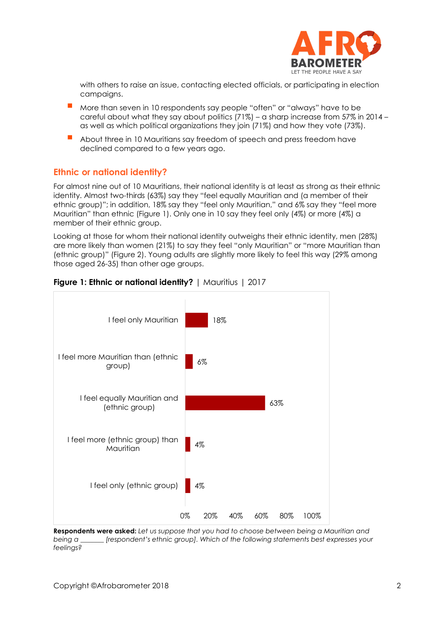

with others to raise an issue, contacting elected officials, or participating in election campaigns.

- More than seven in 10 respondents say people "often" or "always" have to be careful about what they say about politics (71%) – a sharp increase from 57% in 2014 – as well as which political organizations they join (71%) and how they vote (73%).
- About three in 10 Mauritians say freedom of speech and press freedom have declined compared to a few years ago.

#### **Ethnic or national identity?**

For almost nine out of 10 Mauritians, their national identity is at least as strong as their ethnic identity. Almost two-thirds (63%) say they "feel equally Mauritian and (a member of their ethnic group)"; in addition, 18% say they "feel only Mauritian," and 6% say they "feel more Mauritian" than ethnic (Figure 1). Only one in 10 say they feel only (4%) or more (4%) a member of their ethnic group.

Looking at those for whom their national identity outweighs their ethnic identity, men (28%) are more likely than women (21%) to say they feel "only Mauritian" or "more Mauritian than (ethnic group)" (Figure 2). Young adults are slightly more likely to feel this way (29% among those aged 26-35) than other age groups.



#### **Figure 1: Ethnic or national identity?** | Mauritius | 2017

**Respondents were asked:** *Let us suppose that you had to choose between being a Mauritian and being a \_\_\_\_\_\_\_ [respondent's ethnic group]. Which of the following statements best expresses your feelings?*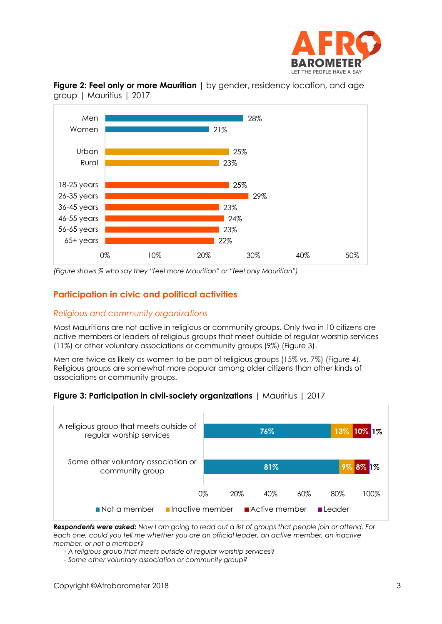



**Figure 2: Feel only or more Mauritian |** by gender, residency location, and age group | Mauritius | 2017

*(Figure shows % who say they "feel more Mauritian" or "feel only Mauritian")*

## **Participation in civic and political activities**

#### *Religious and community organizations*

Most Mauritians are not active in religious or community groups. Only two in 10 citizens are active members or leaders of religious groups that meet outside of regular worship services (11%) or other voluntary associations or community groups (9%) (Figure 3).

Men are twice as likely as women to be part of religious groups (15% vs. 7%) (Figure 4). Religious groups are somewhat more popular among older citizens than other kinds of associations or community groups.





*Respondents were asked: Now I am going to read out a list of groups that people join or attend. For each one, could you tell me whether you are an official leader, an active member, an inactive member, or not a member?*

*- A religious group that meets outside of regular worship services?*

*- Some other voluntary association or community group?*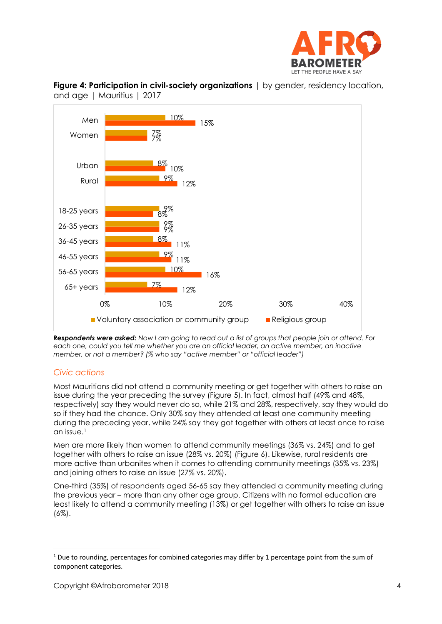



**Figure 4: Participation in civil-society organizations**  $\vert$  by gender, residency location, and age | Mauritius | 2017

*Respondents were asked: Now I am going to read out a list of groups that people join or attend. For each one, could you tell me whether you are an official leader, an active member, an inactive member, or not a member? (% who say "active member" or "official leader")*

### *Civic actions*

Most Mauritians did not attend a community meeting or get together with others to raise an issue during the year preceding the survey (Figure 5). In fact, almost half (49% and 48%, respectively) say they would never do so, while 21% and 28%, respectively, say they would do so if they had the chance. Only 30% say they attended at least one community meeting during the preceding year, while 24% say they got together with others at least once to raise an issue.<sup>1</sup>

Men are more likely than women to attend community meetings (36% vs. 24%) and to get together with others to raise an issue (28% vs. 20%) (Figure 6). Likewise, rural residents are more active than urbanites when it comes to attending community meetings (35% vs. 23%) and joining others to raise an issue (27% vs. 20%).

One-third (35%) of respondents aged 56-65 say they attended a community meeting during the previous year – more than any other age group. Citizens with no formal education are least likely to attend a community meeting (13%) or get together with others to raise an issue (6%).

 $1$  Due to rounding, percentages for combined categories may differ by 1 percentage point from the sum of component categories.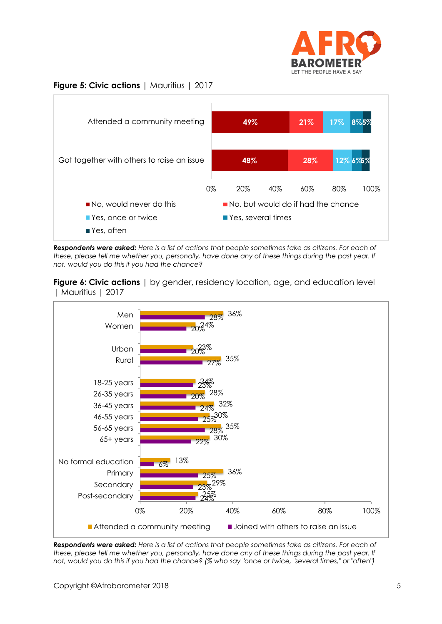

#### **Figure 5: Civic actions** | Mauritius | 2017



*Respondents were asked: Here is a list of actions that people sometimes take as citizens. For each of*  these, please tell me whether you, personally, have done any of these things during the past year. If *not, would you do this if you had the chance?*

**Figure 6: Civic actions** I by gender, residency location, gae, and education level | Mauritius | 2017



*Respondents were asked: Here is a list of actions that people sometimes take as citizens. For each of these, please tell me whether you, personally, have done any of these things during the past year. If not, would you do this if you had the chance? (% who say "once or twice, "several times," or "often")*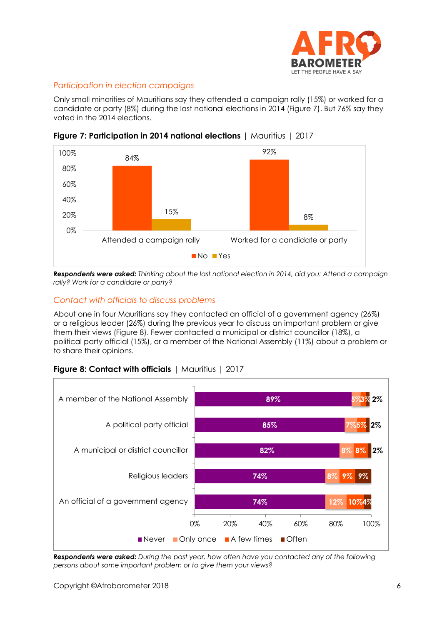

## *Participation in election campaigns*

Only small minorities of Mauritians say they attended a campaign rally (15%) or worked for a candidate or party (8%) during the last national elections in 2014 (Figure 7). But 76% say they voted in the 2014 elections.



**Figure 7: Participation in 2014 national elections** | Mauritius | 2017

*Respondents were asked: Thinking about the last national election in 2014, did you: Attend a campaign rally? Work for a candidate or party?*

#### *Contact with officials to discuss problems*

About one in four Mauritians say they contacted an official of a government agency (26%) or a religious leader (26%) during the previous year to discuss an important problem or give them their views (Figure 8). Fewer contacted a municipal or district councillor (18%), a political party official (15%), or a member of the National Assembly (11%) about a problem or to share their opinions.

## **Figure 8: Contact with officials** | Mauritius | 2017



*Respondents were asked: During the past year, how often have you contacted any of the following persons about some important problem or to give them your views?*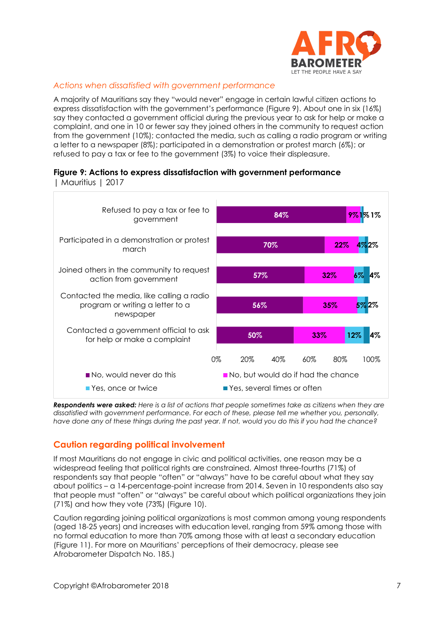

### *Actions when dissatisfied with government performance*

A majority of Mauritians say they "would never" engage in certain lawful citizen actions to express dissatisfaction with the government's performance (Figure 9). About one in six (16%) say they contacted a government official during the previous year to ask for help or make a complaint, and one in 10 or fewer say they joined others in the community to request action from the government (10%); contacted the media, such as calling a radio program or writing a letter to a newspaper (8%); participated in a demonstration or protest march (6%); or refused to pay a tax or fee to the government (3%) to voice their displeasure.

#### **Figure 9: Actions to express dissatisfaction with government performance**  | Mauritius | 2017



*Respondents were asked: Here is a list of actions that people sometimes take as citizens when they are dissatisfied with government performance. For each of these, please tell me whether you, personally, have done any of these things during the past year. If not, would you do this if you had the chance?*

## **Caution regarding political involvement**

If most Mauritians do not engage in civic and political activities, one reason may be a widespread feeling that political rights are constrained. Almost three-fourths (71%) of respondents say that people "often" or "always" have to be careful about what they say about politics – a 14-percentage-point increase from 2014. Seven in 10 respondents also say that people must "often" or "always" be careful about which political organizations they join (71%) and how they vote (73%) (Figure 10).

Caution regarding joining political organizations is most common among young respondents (aged 18-25 years) and increases with education level, ranging from 59% among those with no formal education to more than 70% among those with at least a secondary education (Figure 11). For more on Mauritians' perceptions of their democracy, please see Afrobarometer [Dispatch No. 185.](http://afrobarometer.org/publications/ad185-public-trust-institutions-satisfaction-democracy-decline-mauritius))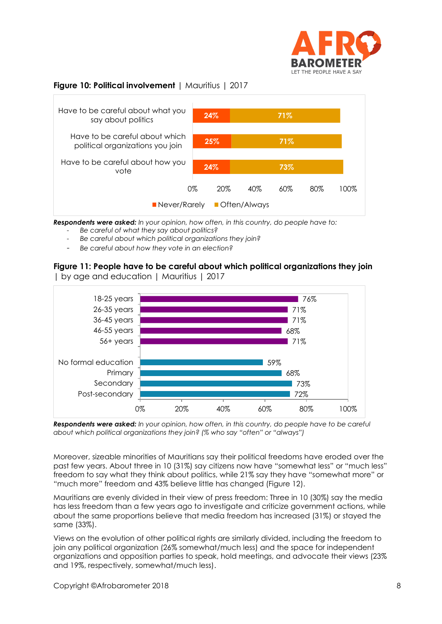

## **Figure 10: Political involvement** | Mauritius | 2017



*Respondents were asked: In your opinion, how often, in this country, do people have to:*

- *Be careful of what they say about politics?*
- *Be careful about which political organizations they join?*
- *Be careful about how they vote in an election?*

#### **Figure 11: People have to be careful about which political organizations they join**  | by age and education | Mauritius | 2017



*Respondents were asked: In your opinion, how often, in this country, do people have to be careful about which political organizations they join? (% who say "often" or "always")*

Moreover, sizeable minorities of Mauritians say their political freedoms have eroded over the past few years. About three in 10 (31%) say citizens now have "somewhat less" or "much less" freedom to say what they think about politics, while 21% say they have "somewhat more" or "much more" freedom and 43% believe little has changed (Figure 12).

Mauritians are evenly divided in their view of press freedom: Three in 10 (30%) say the media has less freedom than a few years ago to investigate and criticize government actions, while about the same proportions believe that media freedom has increased (31%) or stayed the same (33%).

Views on the evolution of other political rights are similarly divided, including the freedom to join any political organization (26% somewhat/much less) and the space for independent organizations and opposition parties to speak, hold meetings, and advocate their views (23% and 19%, respectively, somewhat/much less).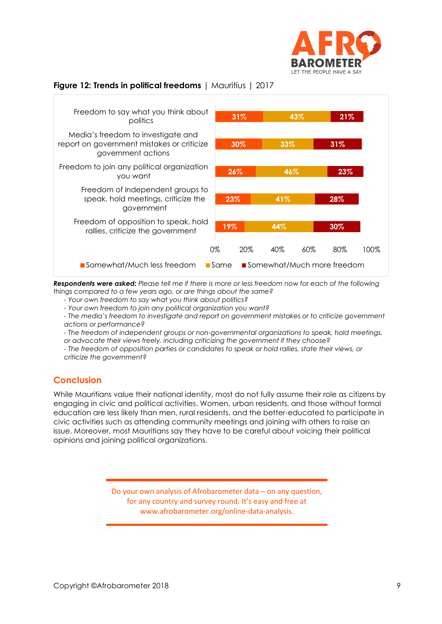

## **Figure 12: Trends in political freedoms** | Mauritius | 2017



*Respondents were asked: Please tell me if there is more or less freedom now for each of the following things compared to a few years ago, or are things about the same?* 

*- Your own freedom to say what you think about politics?*

*- Your own freedom to join any political organization you want?*

*- The media's freedom to investigate and report on government mistakes or to criticize government actions or performance?*

*- The freedom of independent groups or non-governmental organizations to speak, hold meetings, or advocate their views freely, including criticizing the government if they choose?*

*- The freedom of opposition parties or candidates to speak or hold rallies, state their views, or criticize the government?*

### **Conclusion**

While Mauritians value their national identity, most do not fully assume their role as citizens by engaging in civic and political activities. Women, urban residents, and those without formal education are less likely than men, rural residents, and the better-educated to participate in civic activities such as attending community meetings and joining with others to raise an issue. Moreover, most Mauritians say they have to be careful about voicing their political opinions and joining political organizations.

> Do your own analysis of Afrobarometer data – on any question, for any country and survey round. It's easy and free at www.afrobarometer.org/online-data-analysis.